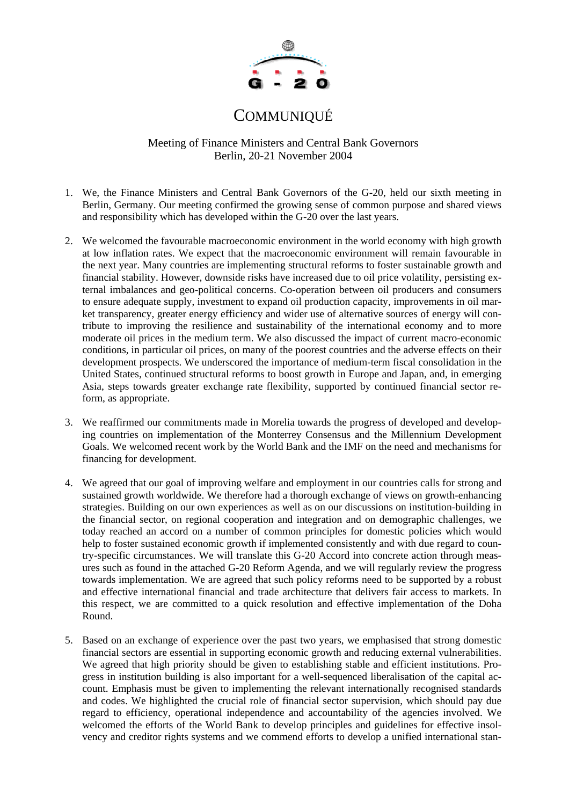

# COMMUNIQUÉ

Meeting of Finance Ministers and Central Bank Governors Berlin, 20-21 November 2004

- 1. We, the Finance Ministers and Central Bank Governors of the G-20, held our sixth meeting in Berlin, Germany. Our meeting confirmed the growing sense of common purpose and shared views and responsibility which has developed within the G-20 over the last years.
- 2. We welcomed the favourable macroeconomic environment in the world economy with high growth at low inflation rates. We expect that the macroeconomic environment will remain favourable in the next year. Many countries are implementing structural reforms to foster sustainable growth and financial stability. However, downside risks have increased due to oil price volatility, persisting external imbalances and geo-political concerns. Co-operation between oil producers and consumers to ensure adequate supply, investment to expand oil production capacity, improvements in oil market transparency, greater energy efficiency and wider use of alternative sources of energy will contribute to improving the resilience and sustainability of the international economy and to more moderate oil prices in the medium term. We also discussed the impact of current macro-economic conditions, in particular oil prices, on many of the poorest countries and the adverse effects on their development prospects. We underscored the importance of medium-term fiscal consolidation in the United States, continued structural reforms to boost growth in Europe and Japan, and, in emerging Asia, steps towards greater exchange rate flexibility, supported by continued financial sector reform, as appropriate.
- 3. We reaffirmed our commitments made in Morelia towards the progress of developed and developing countries on implementation of the Monterrey Consensus and the Millennium Development Goals. We welcomed recent work by the World Bank and the IMF on the need and mechanisms for financing for development.
- 4. We agreed that our goal of improving welfare and employment in our countries calls for strong and sustained growth worldwide. We therefore had a thorough exchange of views on growth-enhancing strategies. Building on our own experiences as well as on our discussions on institution-building in the financial sector, on regional cooperation and integration and on demographic challenges, we today reached an accord on a number of common principles for domestic policies which would help to foster sustained economic growth if implemented consistently and with due regard to country-specific circumstances. We will translate this G-20 Accord into concrete action through measures such as found in the attached G-20 Reform Agenda, and we will regularly review the progress towards implementation. We are agreed that such policy reforms need to be supported by a robust and effective international financial and trade architecture that delivers fair access to markets. In this respect, we are committed to a quick resolution and effective implementation of the Doha Round.
- 5. Based on an exchange of experience over the past two years, we emphasised that strong domestic financial sectors are essential in supporting economic growth and reducing external vulnerabilities. We agreed that high priority should be given to establishing stable and efficient institutions. Progress in institution building is also important for a well-sequenced liberalisation of the capital account. Emphasis must be given to implementing the relevant internationally recognised standards and codes. We highlighted the crucial role of financial sector supervision, which should pay due regard to efficiency, operational independence and accountability of the agencies involved. We welcomed the efforts of the World Bank to develop principles and guidelines for effective insolvency and creditor rights systems and we commend efforts to develop a unified international stan-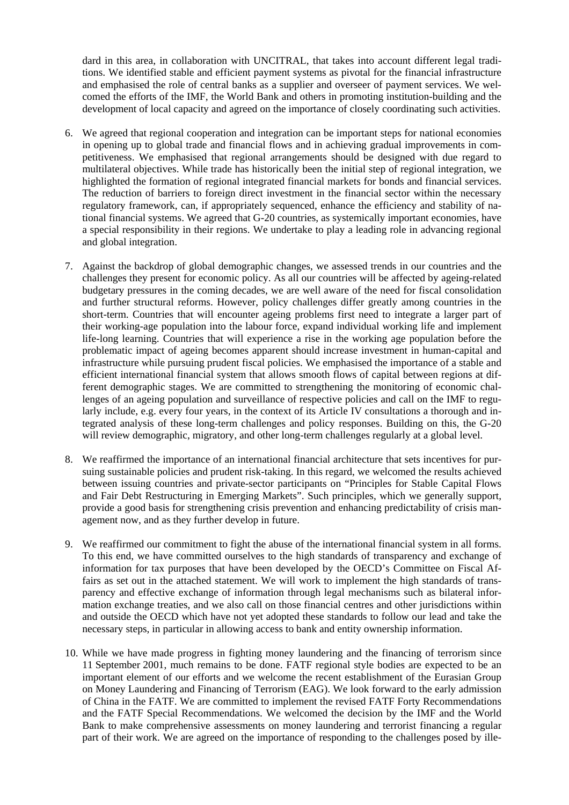dard in this area, in collaboration with UNCITRAL, that takes into account different legal traditions. We identified stable and efficient payment systems as pivotal for the financial infrastructure and emphasised the role of central banks as a supplier and overseer of payment services. We welcomed the efforts of the IMF, the World Bank and others in promoting institution-building and the development of local capacity and agreed on the importance of closely coordinating such activities.

- 6. We agreed that regional cooperation and integration can be important steps for national economies in opening up to global trade and financial flows and in achieving gradual improvements in competitiveness. We emphasised that regional arrangements should be designed with due regard to multilateral objectives. While trade has historically been the initial step of regional integration, we highlighted the formation of regional integrated financial markets for bonds and financial services. The reduction of barriers to foreign direct investment in the financial sector within the necessary regulatory framework, can, if appropriately sequenced, enhance the efficiency and stability of national financial systems. We agreed that G-20 countries, as systemically important economies, have a special responsibility in their regions. We undertake to play a leading role in advancing regional and global integration.
- 7. Against the backdrop of global demographic changes, we assessed trends in our countries and the challenges they present for economic policy. As all our countries will be affected by ageing-related budgetary pressures in the coming decades, we are well aware of the need for fiscal consolidation and further structural reforms. However, policy challenges differ greatly among countries in the short-term. Countries that will encounter ageing problems first need to integrate a larger part of their working-age population into the labour force, expand individual working life and implement life-long learning. Countries that will experience a rise in the working age population before the problematic impact of ageing becomes apparent should increase investment in human-capital and infrastructure while pursuing prudent fiscal policies. We emphasised the importance of a stable and efficient international financial system that allows smooth flows of capital between regions at different demographic stages. We are committed to strengthening the monitoring of economic challenges of an ageing population and surveillance of respective policies and call on the IMF to regularly include, e.g. every four years, in the context of its Article IV consultations a thorough and integrated analysis of these long-term challenges and policy responses. Building on this, the G-20 will review demographic, migratory, and other long-term challenges regularly at a global level.
- 8. We reaffirmed the importance of an international financial architecture that sets incentives for pursuing sustainable policies and prudent risk-taking. In this regard, we welcomed the results achieved between issuing countries and private-sector participants on "Principles for Stable Capital Flows and Fair Debt Restructuring in Emerging Markets". Such principles, which we generally support, provide a good basis for strengthening crisis prevention and enhancing predictability of crisis management now, and as they further develop in future.
- 9. We reaffirmed our commitment to fight the abuse of the international financial system in all forms. To this end, we have committed ourselves to the high standards of transparency and exchange of information for tax purposes that have been developed by the OECD's Committee on Fiscal Affairs as set out in the attached statement. We will work to implement the high standards of transparency and effective exchange of information through legal mechanisms such as bilateral information exchange treaties, and we also call on those financial centres and other jurisdictions within and outside the OECD which have not yet adopted these standards to follow our lead and take the necessary steps, in particular in allowing access to bank and entity ownership information.
- 10. While we have made progress in fighting money laundering and the financing of terrorism since 11 September 2001, much remains to be done. FATF regional style bodies are expected to be an important element of our efforts and we welcome the recent establishment of the Eurasian Group on Money Laundering and Financing of Terrorism (EAG). We look forward to the early admission of China in the FATF. We are committed to implement the revised FATF Forty Recommendations and the FATF Special Recommendations. We welcomed the decision by the IMF and the World Bank to make comprehensive assessments on money laundering and terrorist financing a regular part of their work. We are agreed on the importance of responding to the challenges posed by ille-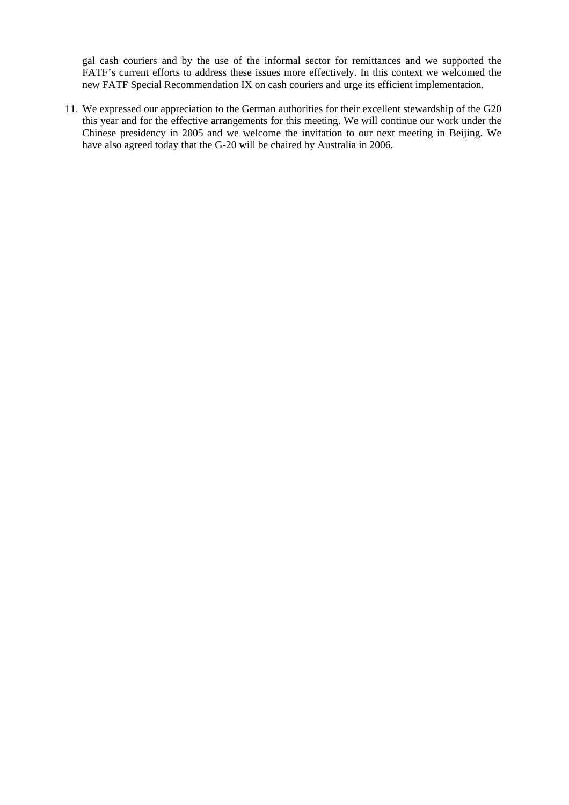gal cash couriers and by the use of the informal sector for remittances and we supported the FATF's current efforts to address these issues more effectively. In this context we welcomed the new FATF Special Recommendation IX on cash couriers and urge its efficient implementation.

11. We expressed our appreciation to the German authorities for their excellent stewardship of the G20 this year and for the effective arrangements for this meeting. We will continue our work under the Chinese presidency in 2005 and we welcome the invitation to our next meeting in Beijing. We have also agreed today that the G-20 will be chaired by Australia in 2006.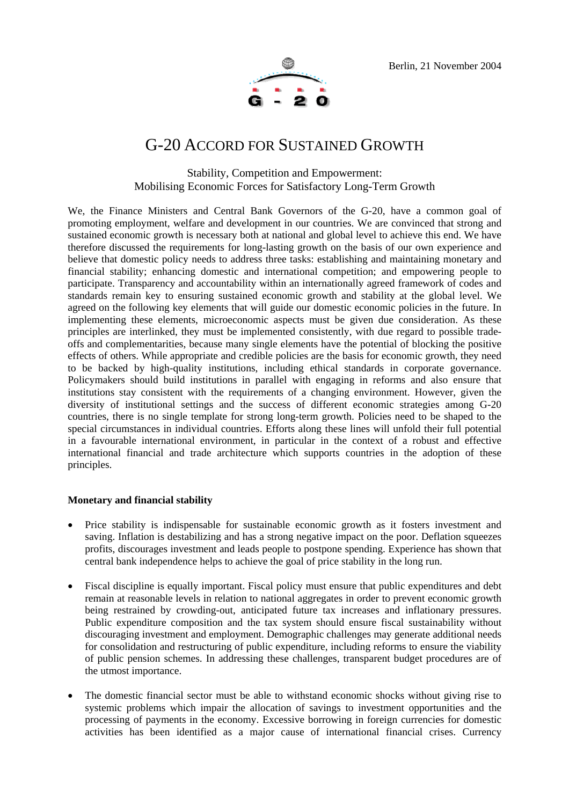

## G-20 ACCORD FOR SUSTAINED GROWTH

### Stability, Competition and Empowerment: Mobilising Economic Forces for Satisfactory Long-Term Growth

We, the Finance Ministers and Central Bank Governors of the G-20, have a common goal of promoting employment, welfare and development in our countries. We are convinced that strong and sustained economic growth is necessary both at national and global level to achieve this end. We have therefore discussed the requirements for long-lasting growth on the basis of our own experience and believe that domestic policy needs to address three tasks: establishing and maintaining monetary and financial stability; enhancing domestic and international competition; and empowering people to participate. Transparency and accountability within an internationally agreed framework of codes and standards remain key to ensuring sustained economic growth and stability at the global level. We agreed on the following key elements that will guide our domestic economic policies in the future. In implementing these elements, microeconomic aspects must be given due consideration. As these principles are interlinked, they must be implemented consistently, with due regard to possible tradeoffs and complementarities, because many single elements have the potential of blocking the positive effects of others. While appropriate and credible policies are the basis for economic growth, they need to be backed by high-quality institutions, including ethical standards in corporate governance. Policymakers should build institutions in parallel with engaging in reforms and also ensure that institutions stay consistent with the requirements of a changing environment. However, given the diversity of institutional settings and the success of different economic strategies among G-20 countries, there is no single template for strong long-term growth. Policies need to be shaped to the special circumstances in individual countries. Efforts along these lines will unfold their full potential in a favourable international environment, in particular in the context of a robust and effective international financial and trade architecture which supports countries in the adoption of these principles.

#### **Monetary and financial stability**

- Price stability is indispensable for sustainable economic growth as it fosters investment and saving. Inflation is destabilizing and has a strong negative impact on the poor. Deflation squeezes profits, discourages investment and leads people to postpone spending. Experience has shown that central bank independence helps to achieve the goal of price stability in the long run.
- Fiscal discipline is equally important. Fiscal policy must ensure that public expenditures and debt remain at reasonable levels in relation to national aggregates in order to prevent economic growth being restrained by crowding-out, anticipated future tax increases and inflationary pressures. Public expenditure composition and the tax system should ensure fiscal sustainability without discouraging investment and employment. Demographic challenges may generate additional needs for consolidation and restructuring of public expenditure, including reforms to ensure the viability of public pension schemes. In addressing these challenges, transparent budget procedures are of the utmost importance.
- The domestic financial sector must be able to withstand economic shocks without giving rise to systemic problems which impair the allocation of savings to investment opportunities and the processing of payments in the economy. Excessive borrowing in foreign currencies for domestic activities has been identified as a major cause of international financial crises. Currency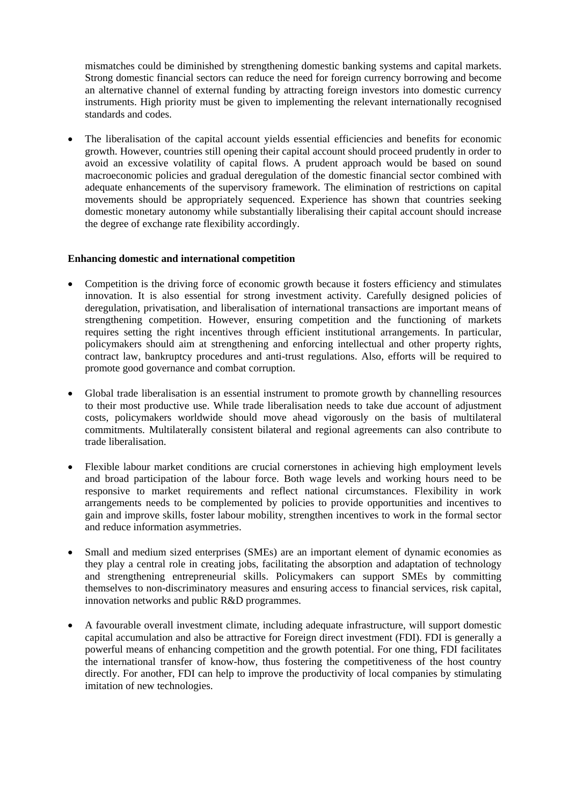mismatches could be diminished by strengthening domestic banking systems and capital markets. Strong domestic financial sectors can reduce the need for foreign currency borrowing and become an alternative channel of external funding by attracting foreign investors into domestic currency instruments. High priority must be given to implementing the relevant internationally recognised standards and codes.

• The liberalisation of the capital account yields essential efficiencies and benefits for economic growth. However, countries still opening their capital account should proceed prudently in order to avoid an excessive volatility of capital flows. A prudent approach would be based on sound macroeconomic policies and gradual deregulation of the domestic financial sector combined with adequate enhancements of the supervisory framework. The elimination of restrictions on capital movements should be appropriately sequenced. Experience has shown that countries seeking domestic monetary autonomy while substantially liberalising their capital account should increase the degree of exchange rate flexibility accordingly.

#### **Enhancing domestic and international competition**

- Competition is the driving force of economic growth because it fosters efficiency and stimulates innovation. It is also essential for strong investment activity. Carefully designed policies of deregulation, privatisation, and liberalisation of international transactions are important means of strengthening competition. However, ensuring competition and the functioning of markets requires setting the right incentives through efficient institutional arrangements. In particular, policymakers should aim at strengthening and enforcing intellectual and other property rights, contract law, bankruptcy procedures and anti-trust regulations. Also, efforts will be required to promote good governance and combat corruption.
- Global trade liberalisation is an essential instrument to promote growth by channelling resources to their most productive use. While trade liberalisation needs to take due account of adjustment costs, policymakers worldwide should move ahead vigorously on the basis of multilateral commitments. Multilaterally consistent bilateral and regional agreements can also contribute to trade liberalisation.
- Flexible labour market conditions are crucial cornerstones in achieving high employment levels and broad participation of the labour force. Both wage levels and working hours need to be responsive to market requirements and reflect national circumstances. Flexibility in work arrangements needs to be complemented by policies to provide opportunities and incentives to gain and improve skills, foster labour mobility, strengthen incentives to work in the formal sector and reduce information asymmetries.
- Small and medium sized enterprises (SMEs) are an important element of dynamic economies as they play a central role in creating jobs, facilitating the absorption and adaptation of technology and strengthening entrepreneurial skills. Policymakers can support SMEs by committing themselves to non-discriminatory measures and ensuring access to financial services, risk capital, innovation networks and public R&D programmes.
- A favourable overall investment climate, including adequate infrastructure, will support domestic capital accumulation and also be attractive for Foreign direct investment (FDI). FDI is generally a powerful means of enhancing competition and the growth potential. For one thing, FDI facilitates the international transfer of know-how, thus fostering the competitiveness of the host country directly. For another, FDI can help to improve the productivity of local companies by stimulating imitation of new technologies.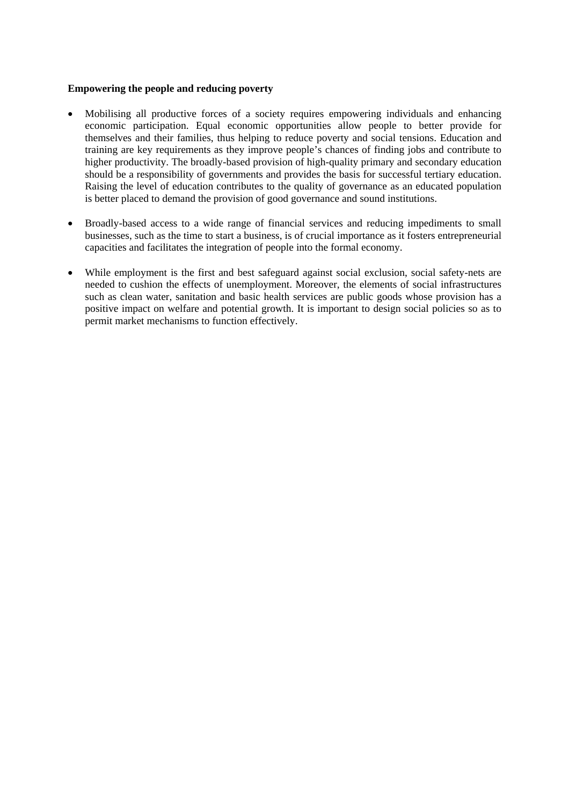#### **Empowering the people and reducing poverty**

- Mobilising all productive forces of a society requires empowering individuals and enhancing economic participation. Equal economic opportunities allow people to better provide for themselves and their families, thus helping to reduce poverty and social tensions. Education and training are key requirements as they improve people's chances of finding jobs and contribute to higher productivity. The broadly-based provision of high-quality primary and secondary education should be a responsibility of governments and provides the basis for successful tertiary education. Raising the level of education contributes to the quality of governance as an educated population is better placed to demand the provision of good governance and sound institutions.
- Broadly-based access to a wide range of financial services and reducing impediments to small businesses, such as the time to start a business, is of crucial importance as it fosters entrepreneurial capacities and facilitates the integration of people into the formal economy.
- While employment is the first and best safeguard against social exclusion, social safety-nets are needed to cushion the effects of unemployment. Moreover, the elements of social infrastructures such as clean water, sanitation and basic health services are public goods whose provision has a positive impact on welfare and potential growth. It is important to design social policies so as to permit market mechanisms to function effectively.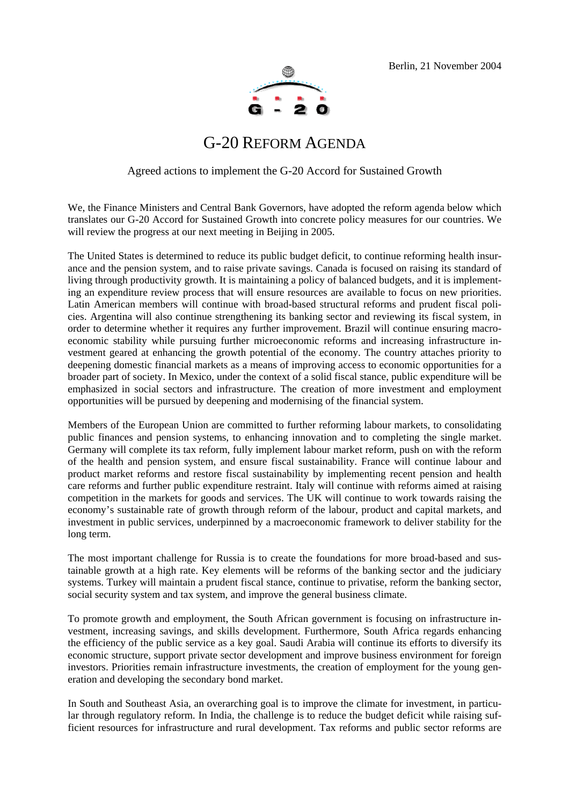

## G-20 REFORM AGENDA

### Agreed actions to implement the G-20 Accord for Sustained Growth

We, the Finance Ministers and Central Bank Governors, have adopted the reform agenda below which translates our G-20 Accord for Sustained Growth into concrete policy measures for our countries. We will review the progress at our next meeting in Beijing in 2005.

The United States is determined to reduce its public budget deficit, to continue reforming health insurance and the pension system, and to raise private savings. Canada is focused on raising its standard of living through productivity growth. It is maintaining a policy of balanced budgets, and it is implementing an expenditure review process that will ensure resources are available to focus on new priorities. Latin American members will continue with broad-based structural reforms and prudent fiscal policies. Argentina will also continue strengthening its banking sector and reviewing its fiscal system, in order to determine whether it requires any further improvement. Brazil will continue ensuring macroeconomic stability while pursuing further microeconomic reforms and increasing infrastructure investment geared at enhancing the growth potential of the economy. The country attaches priority to deepening domestic financial markets as a means of improving access to economic opportunities for a broader part of society. In Mexico, under the context of a solid fiscal stance, public expenditure will be emphasized in social sectors and infrastructure. The creation of more investment and employment opportunities will be pursued by deepening and modernising of the financial system.

Members of the European Union are committed to further reforming labour markets, to consolidating public finances and pension systems, to enhancing innovation and to completing the single market. Germany will complete its tax reform, fully implement labour market reform, push on with the reform of the health and pension system, and ensure fiscal sustainability. France will continue labour and product market reforms and restore fiscal sustainability by implementing recent pension and health care reforms and further public expenditure restraint. Italy will continue with reforms aimed at raising competition in the markets for goods and services. The UK will continue to work towards raising the economy's sustainable rate of growth through reform of the labour, product and capital markets, and investment in public services, underpinned by a macroeconomic framework to deliver stability for the long term.

The most important challenge for Russia is to create the foundations for more broad-based and sustainable growth at a high rate. Key elements will be reforms of the banking sector and the judiciary systems. Turkey will maintain a prudent fiscal stance, continue to privatise, reform the banking sector, social security system and tax system, and improve the general business climate.

To promote growth and employment, the South African government is focusing on infrastructure investment, increasing savings, and skills development. Furthermore, South Africa regards enhancing the efficiency of the public service as a key goal. Saudi Arabia will continue its efforts to diversify its economic structure, support private sector development and improve business environment for foreign investors. Priorities remain infrastructure investments, the creation of employment for the young generation and developing the secondary bond market.

In South and Southeast Asia, an overarching goal is to improve the climate for investment, in particular through regulatory reform. In India, the challenge is to reduce the budget deficit while raising sufficient resources for infrastructure and rural development. Tax reforms and public sector reforms are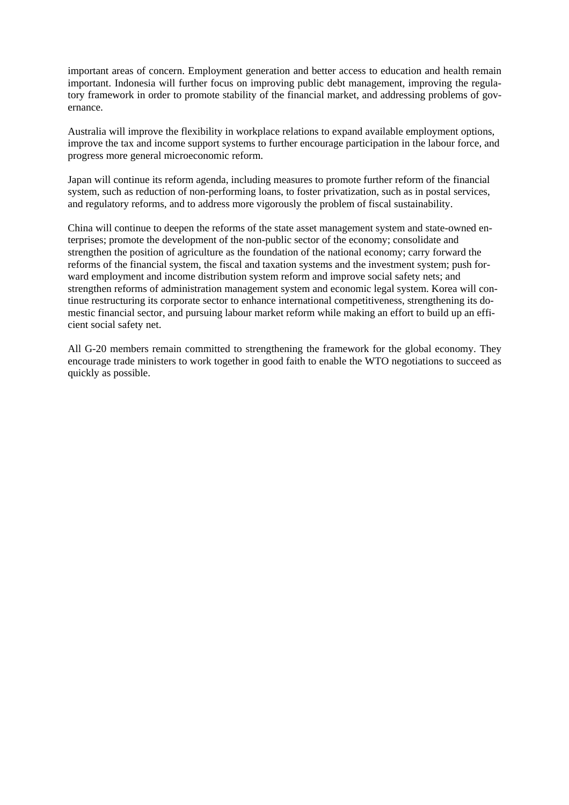important areas of concern. Employment generation and better access to education and health remain important. Indonesia will further focus on improving public debt management, improving the regulatory framework in order to promote stability of the financial market, and addressing problems of governance.

Australia will improve the flexibility in workplace relations to expand available employment options, improve the tax and income support systems to further encourage participation in the labour force, and progress more general microeconomic reform.

Japan will continue its reform agenda, including measures to promote further reform of the financial system, such as reduction of non-performing loans, to foster privatization, such as in postal services, and regulatory reforms, and to address more vigorously the problem of fiscal sustainability.

China will continue to deepen the reforms of the state asset management system and state-owned enterprises; promote the development of the non-public sector of the economy; consolidate and strengthen the position of agriculture as the foundation of the national economy; carry forward the reforms of the financial system, the fiscal and taxation systems and the investment system; push forward employment and income distribution system reform and improve social safety nets; and strengthen reforms of administration management system and economic legal system. Korea will continue restructuring its corporate sector to enhance international competitiveness, strengthening its domestic financial sector, and pursuing labour market reform while making an effort to build up an efficient social safety net.

All G-20 members remain committed to strengthening the framework for the global economy. They encourage trade ministers to work together in good faith to enable the WTO negotiations to succeed as quickly as possible.